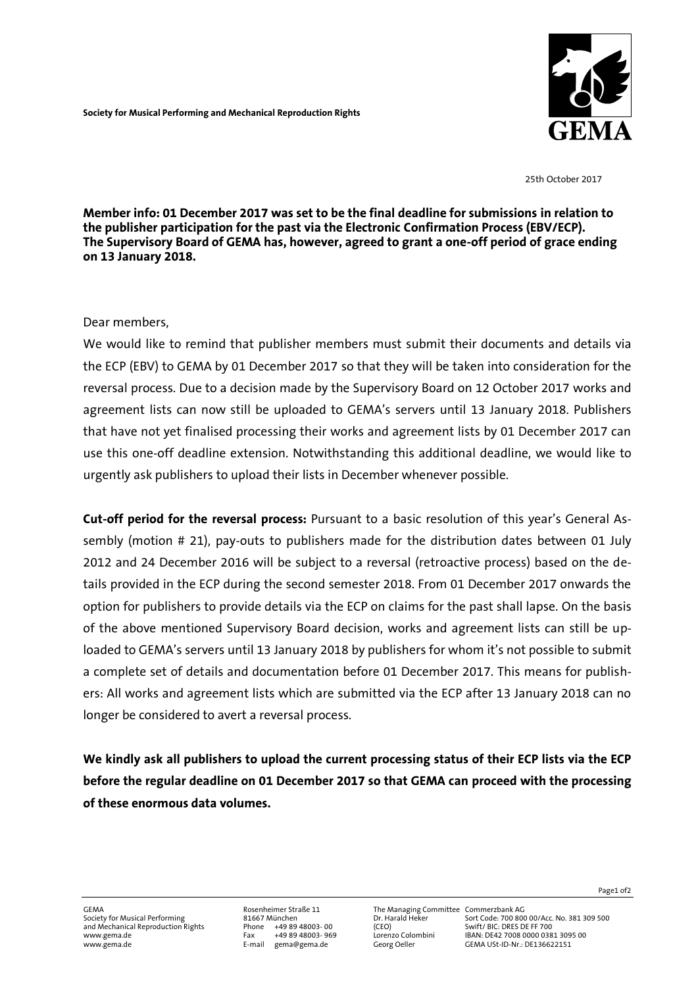

25th October 2017

**Member info: 01 December 2017 was set to be the final deadline for submissions in relation to the publisher participation for the past via the Electronic Confirmation Process (EBV/ECP). The Supervisory Board of GEMA has, however, agreed to grant a one-off period of grace ending on 13 January 2018.**

## Dear members,

We would like to remind that publisher members must submit their documents and details via the ECP (EBV) to GEMA by 01 December 2017 so that they will be taken into consideration for the reversal process. Due to a decision made by the Supervisory Board on 12 October 2017 works and agreement lists can now still be uploaded to GEMA's servers until 13 January 2018. Publishers that have not yet finalised processing their works and agreement lists by 01 December 2017 can use this one-off deadline extension. Notwithstanding this additional deadline, we would like to urgently ask publishers to upload their lists in December whenever possible.

**Cut-off period for the reversal process:** Pursuant to a basic resolution of this year's General Assembly (motion # 21), pay-outs to publishers made for the distribution dates between 01 July 2012 and 24 December 2016 will be subject to a reversal (retroactive process) based on the details provided in the ECP during the second semester 2018. From 01 December 2017 onwards the option for publishers to provide details via the ECP on claims for the past shall lapse. On the basis of the above mentioned Supervisory Board decision, works and agreement lists can still be uploaded to GEMA's servers until 13 January 2018 by publishers for whom it's not possible to submit a complete set of details and documentation before 01 December 2017. This means for publishers: All works and agreement lists which are submitted via the ECP after 13 January 2018 can no longer be considered to avert a reversal process.

**We kindly ask all publishers to upload the current processing status of their ECP lists via the ECP before the regular deadline on 01 December 2017 so that GEMA can proceed with the processing of these enormous data volumes.** 

Society for Musical Performance Community For Musical Performance Community Control Performing 81667 München Dr. Harald Heker Sort Code: 700 800 00/Acc. No. 381 309 500<br>Phone +49 89 48003-00 (CEO) Swift/ BIC: DRES DE FF 70 www.gema.de Fax +49 89 48003- 969 Lorenzo Colombini IBAN: DE42 7008 0000 0381 3095 00 www.pema.oege.ceee.ceee.ceee.cee